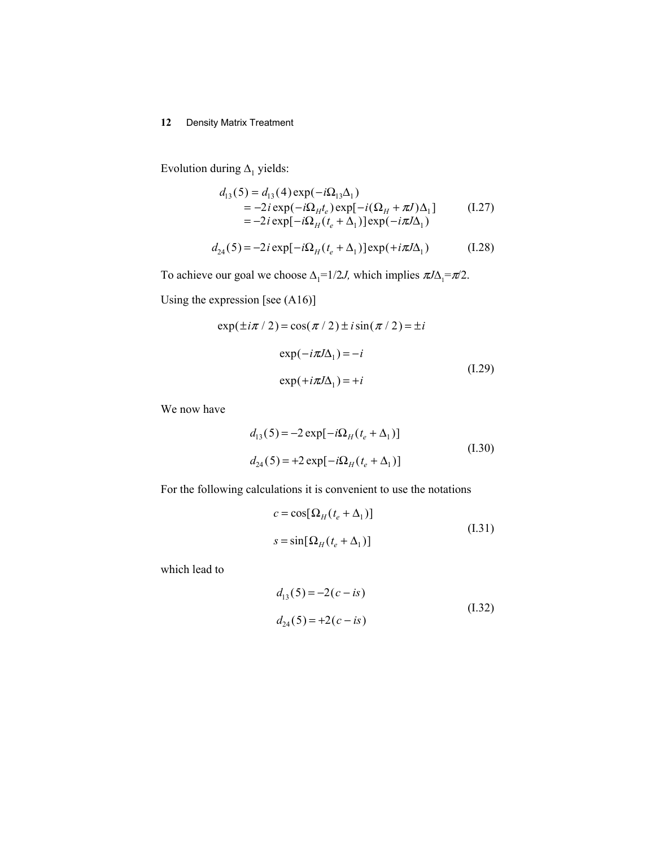Evolution during  $\Delta_1$  yields:

$$
d_{13}(5) = d_{13}(4) \exp(-i\Omega_{13}\Delta_1)
$$
  
= -2*i* exp(-*i*Ω<sub>H</sub>*t<sub>e</sub>*) exp[-*i*(Ω<sub>H</sub> + π*J*)Δ<sub>1</sub>]  
= -2*i* exp[-*i*Ω<sub>H</sub>(*t<sub>e</sub>* + Δ<sub>1</sub>)] exp(-*i*π*J*Δ<sub>1</sub>) (1.27)

$$
d_{24}(5) = -2i \exp[-i\Omega_H(t_e + \Delta_1)] \exp(+i\pi J \Delta_1)
$$
 (I.28)

To achieve our goal we choose  $\Delta_1=1/2J$ , which implies  $\pi J\Delta_1=\pi/2$ .

Using the expression [see (A16)]

$$
\exp(\pm i\pi / 2) = \cos(\pi / 2) \pm i \sin(\pi / 2) = \pm i
$$
  
\n
$$
\exp(-i\pi J\Delta_1) = -i
$$
  
\n
$$
\exp(+i\pi J\Delta_1) = +i
$$
\n(1.29)

We now have

$$
d_{13}(5) = -2 \exp[-i\Omega_H(t_e + \Delta_1)]
$$
  
\n
$$
d_{24}(5) = +2 \exp[-i\Omega_H(t_e + \Delta_1)]
$$
\n(I.30)

For the following calculations it is convenient to use the notations

$$
c = \cos[\Omega_H(t_e + \Delta_1)]
$$
  

$$
s = \sin[\Omega_H(t_e + \Delta_1)]
$$
 (I.31)

which lead to

$$
d_{13}(5) = -2(c - is)
$$
  
\n
$$
d_{24}(5) = +2(c - is)
$$
\n(1.32)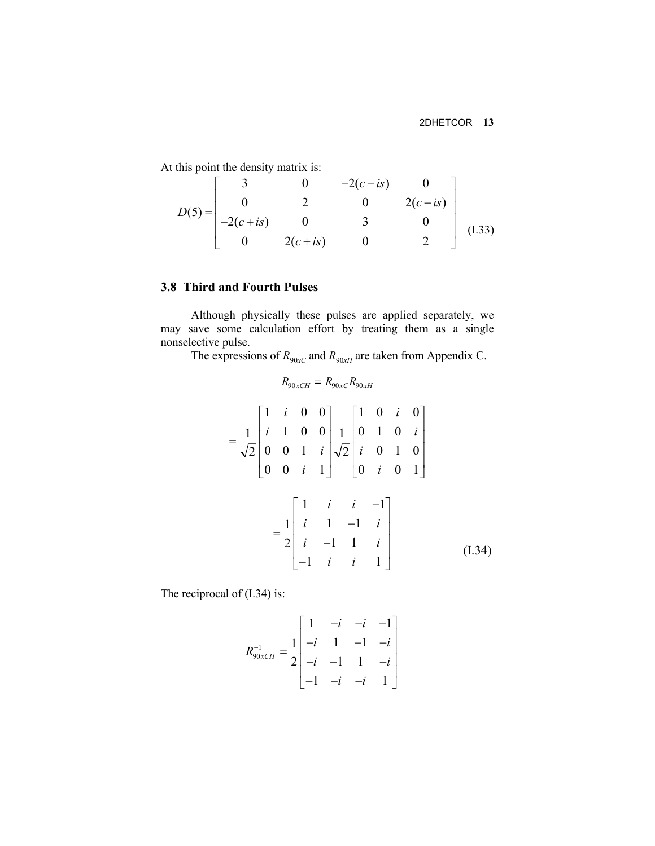At this point the density matrix is:

$$
D(5) = \begin{bmatrix} 3 & 0 & -2(c-is) & 0 \\ 0 & 2 & 0 & 2(c-is) \\ -2(c+is) & 0 & 3 & 0 \\ 0 & 2(c+is) & 0 & 2 \end{bmatrix}
$$
 (I.33)

# **3.8 Third and Fourth Pulses**

Although physically these pulses are applied separately, we may save some calculation effort by treating them as a single nonselective pulse.

The expressions of  $R_{90xC}$  and  $R_{90xH}$  are taken from Appendix C.

$$
R_{90xCH} = R_{90xC} R_{90xH}
$$
  
=  $\frac{1}{\sqrt{2}} \begin{bmatrix} 1 & i & 0 & 0 \\ i & 1 & 0 & 0 \\ 0 & 0 & 1 & i \\ 0 & 0 & i & 1 \end{bmatrix} \frac{1}{\sqrt{2}} \begin{bmatrix} 1 & 0 & i & 0 \\ 0 & 1 & 0 & i \\ i & 0 & 1 & 0 \\ 0 & i & 0 & 1 \end{bmatrix}$   
=  $\frac{1}{2} \begin{bmatrix} 1 & i & i & -1 \\ i & 1 & -1 & i \\ i & -1 & 1 & i \\ -1 & i & i & 1 \end{bmatrix}$  (I.34)

The reciprocal of  $(1.34)$  is:

$$
R_{90xCH}^{-1} = \frac{1}{2} \begin{bmatrix} 1 & -i & -i & -1 \\ -i & 1 & -1 & -i \\ -i & -1 & 1 & -i \\ -1 & -i & -i & 1 \end{bmatrix}
$$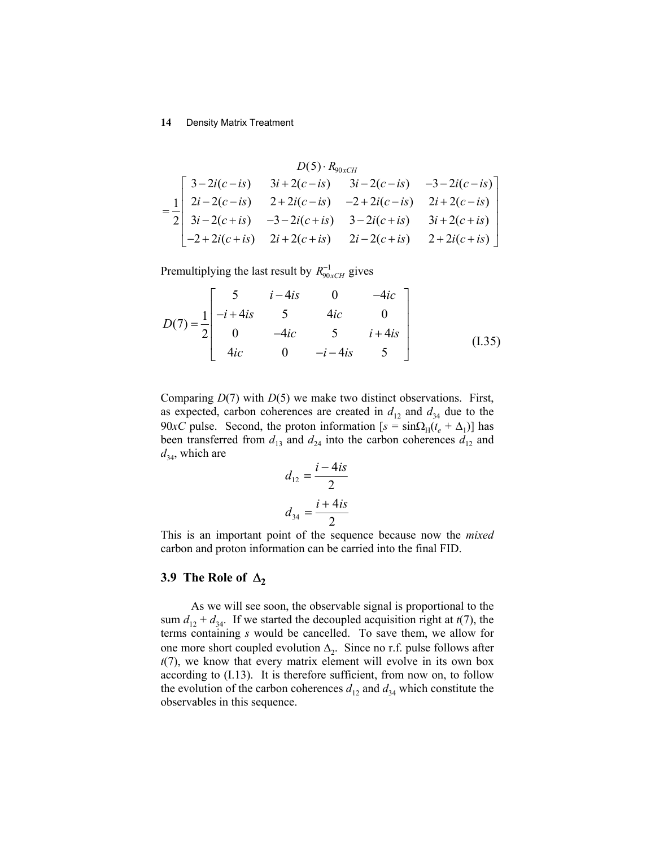$$
D(5) \cdot R_{90xCH}
$$
\n
$$
= \frac{1}{2} \begin{bmatrix} 3-2i(c-is) & 3i+2(c-is) & 3i-2(c-is) & -3-2i(c-is) \\ 2i-2(c-is) & 2+2i(c-is) & -2+2i(c-is) & 2i+2(c-is) \\ 3i-2(c+is) & -3-2i(c+is) & 3-2i(c+is) & 3i+2(c+is) \\ -2+2i(c+is) & 2i+2(c+is) & 2i-2(c+is) & 2+2i(c+is) \end{bmatrix}
$$

Premultiplying the last result by  $R_{90xCH}^{-1}$  gives

$$
D(7) = \frac{1}{2} \begin{bmatrix} 5 & i - 4is & 0 & -4ic \\ -i + 4is & 5 & 4ic & 0 \\ 0 & -4ic & 5 & i + 4is \\ 4ic & 0 & -i - 4is & 5 \end{bmatrix}
$$
(1.35)

Comparing *D*(7) with *D*(5) we make two distinct observations. First, as expected, carbon coherences are created in  $d_{12}$  and  $d_{34}$  due to the 90*xC* pulse. Second, the proton information  $[s = \sin\Omega_H(t_e + \Delta_1)]$  has been transferred from  $d_{13}$  and  $d_{24}$  into the carbon coherences  $d_{12}$  and  $d_{34}$ , which are

$$
d_{12} = \frac{i - 4is}{2}
$$

$$
d_{34} = \frac{i + 4is}{2}
$$

This is an important point of the sequence because now the *mixed* carbon and proton information can be carried into the final FID.

# **3.9 The Role of**  $\Delta_2$

As we will see soon, the observable signal is proportional to the sum  $d_{12} + d_{34}$ . If we started the decoupled acquisition right at  $t(7)$ , the terms containing *s* would be cancelled. To save them, we allow for one more short coupled evolution ∆2. Since no r.f. pulse follows after *t*(7), we know that every matrix element will evolve in its own box according to (I.13). It is therefore sufficient, from now on, to follow the evolution of the carbon coherences  $d_{12}$  and  $d_{34}$  which constitute the observables in this sequence.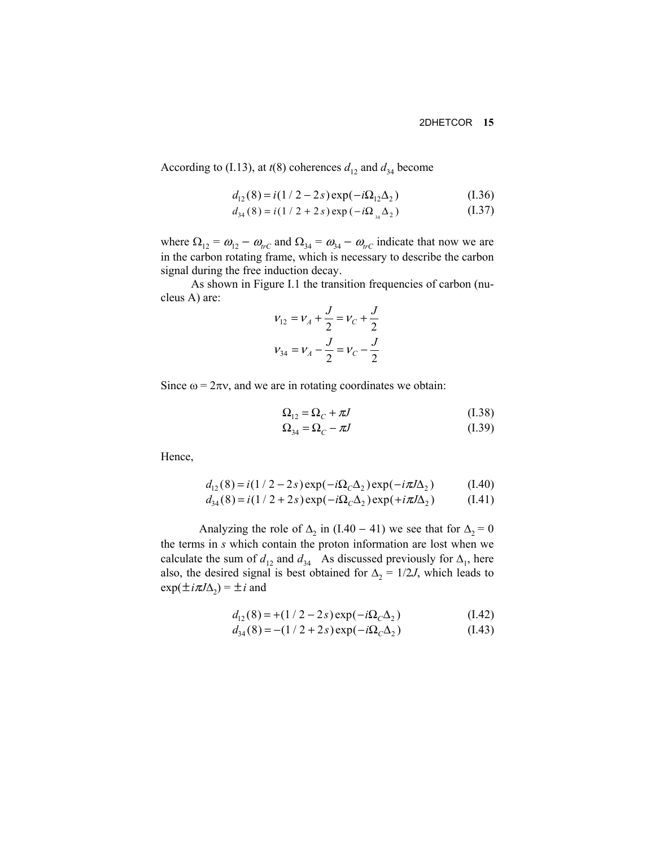According to (I.13), at  $t(8)$  coherences  $d_{12}$  and  $d_{34}$  become

$$
d_{12}(8) = i(1/2 - 2s) \exp(-i\Omega_{12}\Delta_2)
$$
 (I.36)

$$
d_{34}(8) = i(1 / 2 + 2 s) \exp(-i\Omega_{34} \Delta_2)
$$
 (I.37)

where  $\Omega_{12} = \omega_{12} - \omega_{trC}$  and  $\Omega_{34} = \omega_{34} - \omega_{trC}$  indicate that now we are in the carbon rotating frame, which is necessary to describe the carbon signal during the free induction decay.

As shown in Figure I.1 the transition frequencies of carbon (nucleus A) are:

$$
v_{12} = v_A + \frac{J}{2} = v_C + \frac{J}{2}
$$
  

$$
v_{34} = v_A - \frac{J}{2} = v_C - \frac{J}{2}
$$

Since  $\omega = 2\pi v$ , and we are in rotating coordinates we obtain:

$$
\Omega_{12} = \Omega_C + \pi J \tag{I.38}
$$

$$
\Omega_{34} = \Omega_C - \pi J \tag{I.39}
$$

Hence,

$$
d_{12}(8) = i(1/2 - 2s) \exp(-i\Omega_c \Delta_2) \exp(-i\pi J \Delta_2)
$$
 (I.40)

$$
d_{34}(8) = i(1/2 + 2s) \exp(-i\Omega_C \Delta_2) \exp(+i\pi J \Delta_2)
$$
 (I.41)

Analyzing the role of  $\Delta_2$  in (I.40 – 41) we see that for  $\Delta_2 = 0$ the terms in *s* which contain the proton information are lost when we calculate the sum of  $d_{12}$  and  $d_{34}$  As discussed previously for  $\Delta_1$ , here also, the desired signal is best obtained for  $\Delta_2 = 1/2J$ , which leads to  $\exp(\pm i\pi J\Delta_2) = \pm i$  and

$$
d_{12}(8) = +(1/2 - 2s) \exp(-i\Omega_C \Delta_2)
$$
 (I.42)

$$
d_{34}(8) = -(1/2 + 2s) \exp(-i\Omega_C \Delta_2)
$$
 (I.43)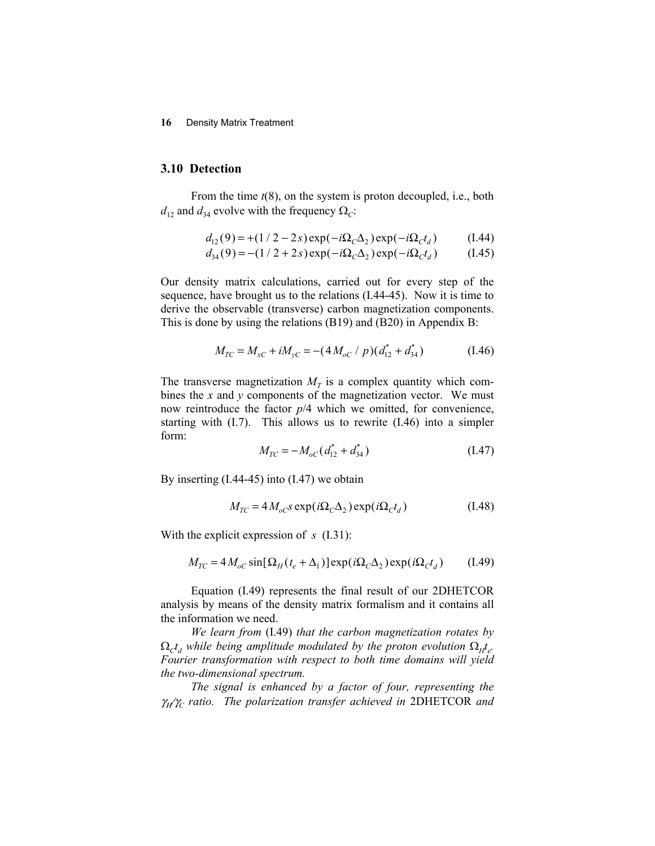## **3.10 Detection**

From the time  $t(8)$ , on the system is proton decoupled, i.e., both  $d_{12}$  and  $d_{34}$  evolve with the frequency  $\Omega_c$ :

$$
d_{12}(9) = +(1/2 - 2s) \exp(-i\Omega_c \Delta_2) \exp(-i\Omega_c t_d)
$$
 (1.44)

$$
d_{34}(9) = -(1/2 + 2s) \exp(-i\Omega_c \Delta_2) \exp(-i\Omega_c t_d)
$$
 (1.45)

Our density matrix calculations, carried out for every step of the sequence, have brought us to the relations (I.44-45). Now it is time to derive the observable (transverse) carbon magnetization components. This is done by using the relations (B19) and (B20) in Appendix B:

$$
M_{TC} = M_{xC} + iM_{yC} = -(4M_{oC} / p)(d_{12}^* + d_{34}^*)
$$
 (I.46)

The transverse magnetization  $M_T$  is a complex quantity which combines the *x* and *y* components of the magnetization vector. We must now reintroduce the factor *p*/4 which we omitted, for convenience, starting with (I.7). This allows us to rewrite (I.46) into a simpler form:

$$
M_{TC} = -M_{oc}(d_{12}^* + d_{34}^*)
$$
 (I.47)

By inserting (I.44-45) into (I.47) we obtain

$$
M_{TC} = 4 M_{oC} s \exp(i\Omega_C \Delta_2) \exp(i\Omega_C t_d)
$$
 (1.48)

With the explicit expression of *s* (I.31):

$$
M_{TC} = 4 M_{oC} \sin[\Omega_H(t_e + \Delta_1)] \exp(i\Omega_C \Delta_2) \exp(i\Omega_C t_d)
$$
 (1.49)

Equation (I.49) represents the final result of our 2DHETCOR analysis by means of the density matrix formalism and it contains all the information we need.

*We learn from* (I.49) *that the carbon magnetization rotates by*   $\Omega_c t_d$  *while being amplitude modulated by the proton evolution*  $\Omega_H t_c$ . *Fourier transformation with respect to both time domains will yield the two-dimensional spectrum.* 

*The signal is enhanced by a factor of four, representing the*   $\gamma_H/\gamma_C$  ratio. The polarization transfer achieved in 2DHETCOR and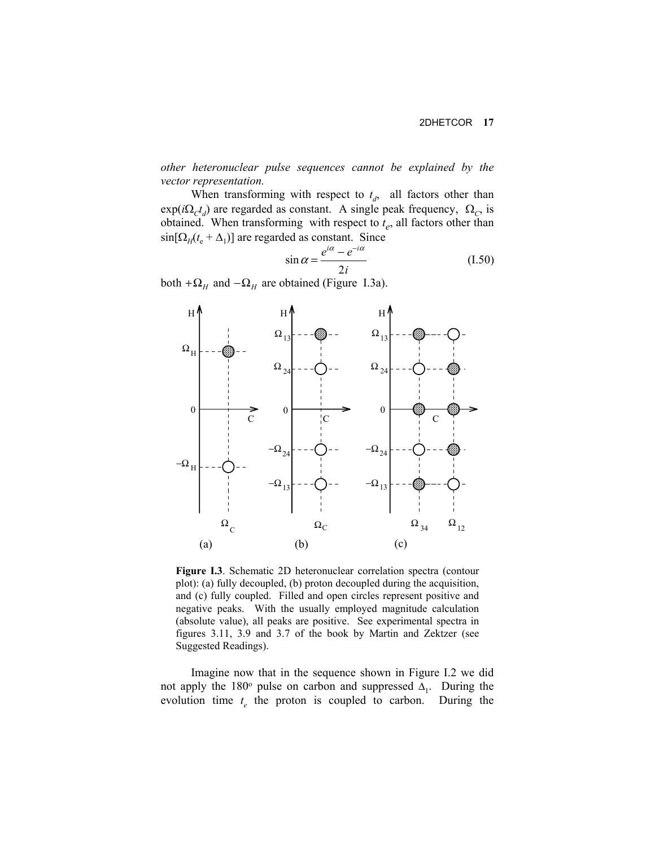*other heteronuclear pulse sequences cannot be explained by the vector representation.*

When transforming with respect to  $t_d$ , all factors other than  $\exp(i\Omega_c t_d)$  are regarded as constant. A single peak frequency,  $\Omega_c$ , is obtained. When transforming with respect to  $t_e$ , all factors other than  $\sin[\Omega_H(t_e + \Delta_1)]$  are regarded as constant. Since

$$
\sin \alpha = \frac{e^{i\alpha} - e^{-i\alpha}}{2i} \tag{I.50}
$$

both  $+\Omega$ <sub>*H*</sub> and  $-\Omega$ <sub>*H*</sub> are obtained (Figure I.3a).



**Figure I.3**. Schematic 2D heteronuclear correlation spectra (contour plot): (a) fully decoupled, (b) proton decoupled during the acquisition, and (c) fully coupled. Filled and open circles represent positive and negative peaks. With the usually employed magnitude calculation (absolute value), all peaks are positive. See experimental spectra in figures 3.11, 3.9 and 3.7 of the book by Martin and Zektzer (see Suggested Readings).

Imagine now that in the sequence shown in Figure I.2 we did not apply the 180 $\degree$  pulse on carbon and suppressed  $\Delta_1$ . During the evolution time  $t_e$  the proton is coupled to carbon. During the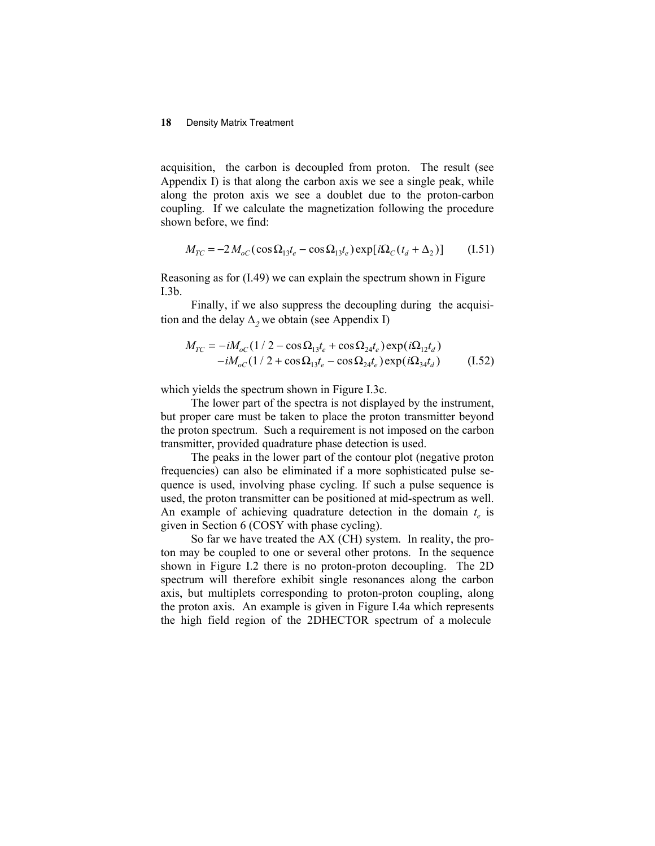acquisition, the carbon is decoupled from proton. The result (see Appendix I) is that along the carbon axis we see a single peak, while along the proton axis we see a doublet due to the proton-carbon coupling. If we calculate the magnetization following the procedure shown before, we find:

$$
M_{TC} = -2 M_{oC} (\cos \Omega_{13} t_e - \cos \Omega_{13} t_e) \exp[i\Omega_C (t_d + \Delta_2)] \tag{I.51}
$$

Reasoning as for (I.49) we can explain the spectrum shown in Figure I.3b.

Finally, if we also suppress the decoupling during the acquisition and the delay  $\Delta_2$  we obtain (see Appendix I)

$$
M_{TC} = -iM_{oC} (1/2 - \cos \Omega_{13} t_e + \cos \Omega_{24} t_e) \exp(i\Omega_{12} t_d)
$$
  
-iM\_{oC} (1/2 + \cos \Omega\_{13} t\_e - \cos \Omega\_{24} t\_e) \exp(i\Omega\_{34} t\_d) (I.52)

which yields the spectrum shown in Figure I.3c.

The lower part of the spectra is not displayed by the instrument, but proper care must be taken to place the proton transmitter beyond the proton spectrum. Such a requirement is not imposed on the carbon transmitter, provided quadrature phase detection is used.

The peaks in the lower part of the contour plot (negative proton frequencies) can also be eliminated if a more sophisticated pulse sequence is used, involving phase cycling. If such a pulse sequence is used, the proton transmitter can be positioned at mid-spectrum as well. An example of achieving quadrature detection in the domain  $t_e$  is given in Section 6 (COSY with phase cycling).

So far we have treated the AX (CH) system. In reality, the proton may be coupled to one or several other protons. In the sequence shown in Figure I.2 there is no proton-proton decoupling. The 2D spectrum will therefore exhibit single resonances along the carbon axis, but multiplets corresponding to proton-proton coupling, along the proton axis. An example is given in Figure I.4a which represents the high field region of the 2DHECTOR spectrum of a molecule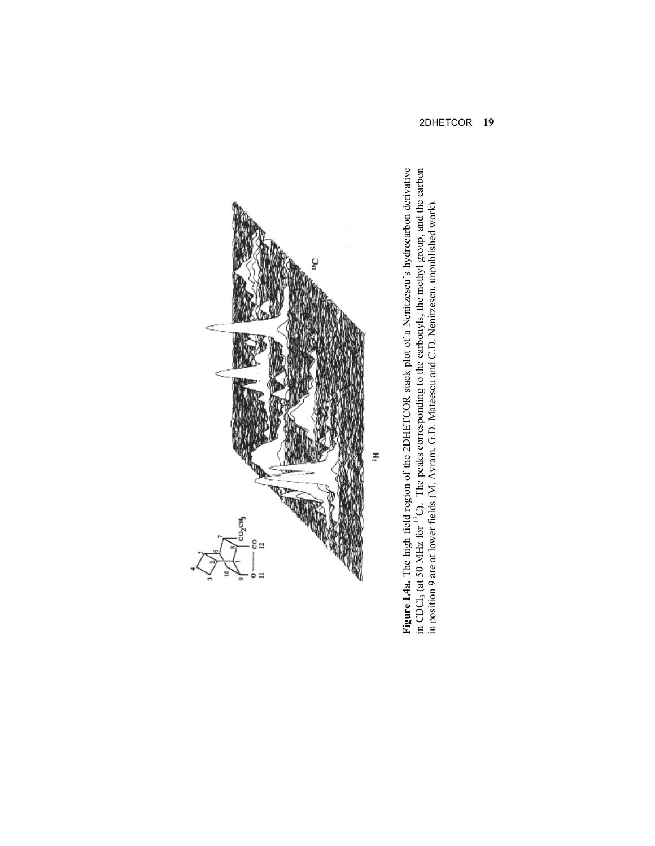